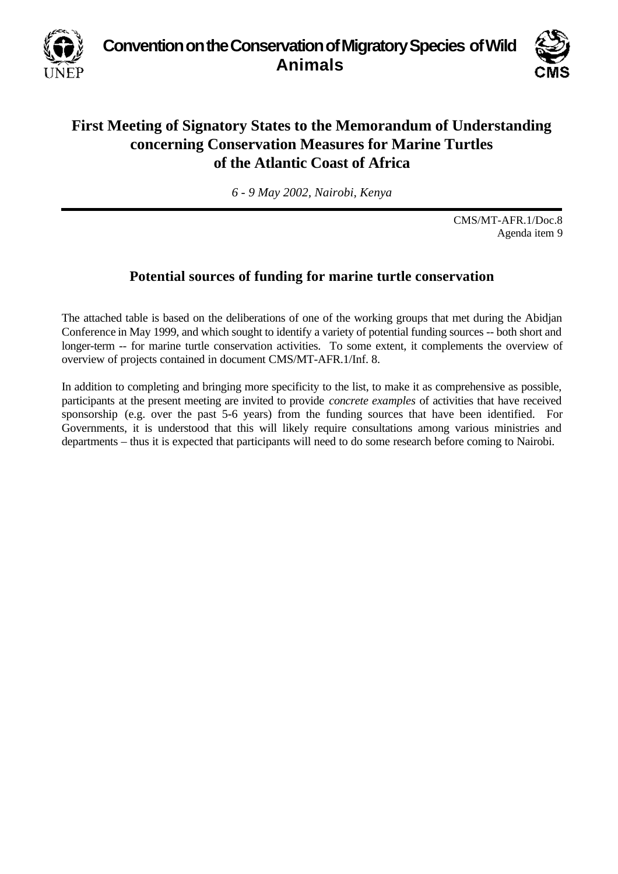**Convention on the Conservation of Migratory Species of Wild Animals**



## **First Meeting of Signatory States to the Memorandum of Understanding concerning Conservation Measures for Marine Turtles of the Atlantic Coast of Africa**

*6 - 9 May 2002, Nairobi, Kenya*

CMS/MT-AFR.1/Doc.8 Agenda item 9

## **Potential sources of funding for marine turtle conservation**

The attached table is based on the deliberations of one of the working groups that met during the Abidjan Conference in May 1999, and which sought to identify a variety of potential funding sources -- both short and longer-term -- for marine turtle conservation activities. To some extent, it complements the overview of overview of projects contained in document CMS/MT-AFR.1/Inf. 8.

In addition to completing and bringing more specificity to the list, to make it as comprehensive as possible, participants at the present meeting are invited to provide *concrete examples* of activities that have received sponsorship (e.g. over the past 5-6 years) from the funding sources that have been identified. For Governments, it is understood that this will likely require consultations among various ministries and departments – thus it is expected that participants will need to do some research before coming to Nairobi.